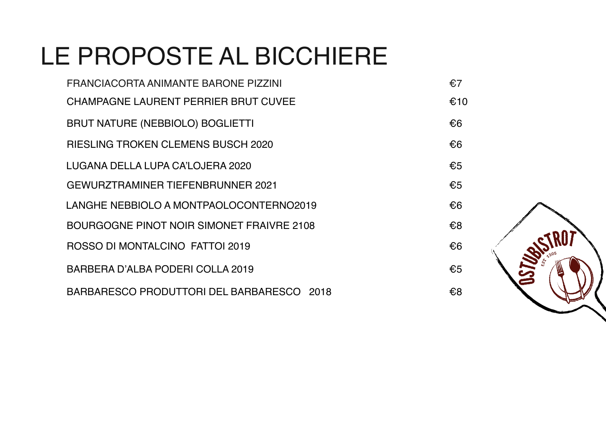# LE PROPOSTE AL BICCHIERE

| FRANCIACORTA ANIMANTE BARONE PIZZINI      | €7  |
|-------------------------------------------|-----|
| CHAMPAGNE LAURENT PERRIER BRUT CUVEE      | €10 |
| <b>BRUT NATURE (NEBBIOLO) BOGLIETTI</b>   | €6  |
| <b>RIESLING TROKEN CLEMENS BUSCH 2020</b> | €6  |
| LUGANA DELLA LUPA CA'LOJERA 2020          | €5  |
| <b>GEWURZTRAMINER TIEFENBRUNNER 2021</b>  | €5  |
| LANGHE NEBBIOLO A MONTPAOLOCONTERNO2019   | €6  |
| BOURGOGNE PINOT NOIR SIMONET FRAIVRE 2108 | €8  |
| ROSSO DI MONTALCINO FATTOI 2019           | €6  |
| BARBERA D'ALBA PODERI COLLA 2019          | €5  |
| BARBARESCO PRODUTTORI DEL BARBARESCO 2018 | €8  |

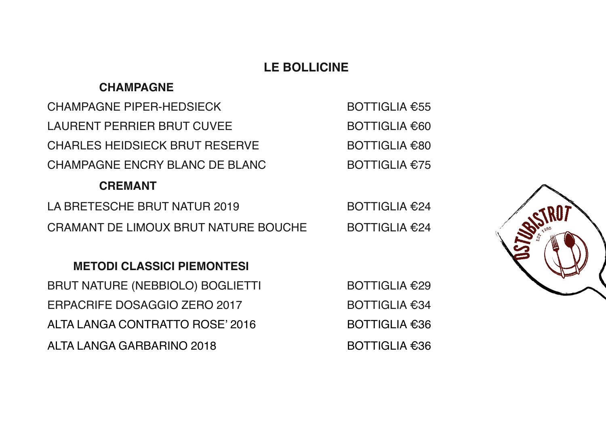## **LE BOLLICINE**

## **CHAMPAGNE**

| <b>CHAMPAGNE PIPER-HEDSIECK</b>       | BOTTIGLIA $€55$      |
|---------------------------------------|----------------------|
| <b>LAURENT PERRIER BRUT CUVEE</b>     | BOTTIGLIA €60        |
| <b>CHARLES HEIDSIECK BRUT RESERVE</b> | <b>BOTTIGLIA €80</b> |
| CHAMPAGNE ENCRY BLANC DE BLANC        | BOTTIGLIA $£75$      |
| <b>CREMANT</b>                        |                      |
| LA BRETESCHE BRUT NATUR 2019          | BOTTIGLIA $€24$      |

CRAMANT DE LIMOUX BRUT NATURE BOUCHE BOTTIGLIA €24

## **METODI CLASSICI PIEMONTESI**

BRUT NATURE (NEBBIOLO) BOGLIETTI BOTTIGLIA €29 ERPACRIFE DOSAGGIO ZERO 2017 BOTTIGLIA €34 ALTA LANGA CONTRATTO ROSE' 2016 BOTTIGLIA €36 ALTA LANGA GARBARINO 2018 BOTTIGLIA €36

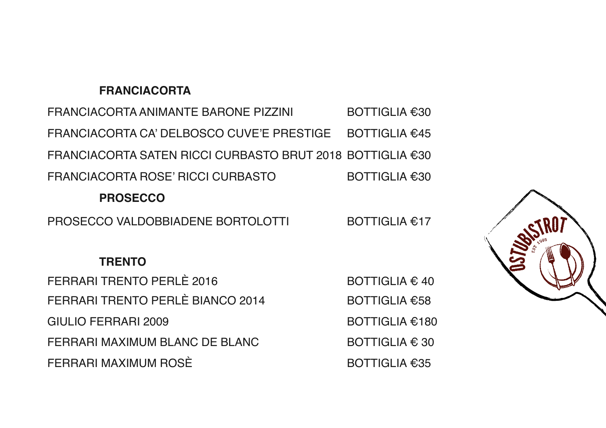#### **FRANCIACORTA**

FRANCIACORTA ANIMANTE BARONE PIZZINI BOTTIGLIA €30 FRANCIACORTA CA' DELBOSCO CUVE'E PRESTIGE BOTTIGLIA €45 FRANCIACORTA SATEN RICCI CURBASTO BRUT 2018 BOTTIGLIA €30 FRANCIACORTA ROSE' RICCI CURBASTO BOTTIGLIA €30

#### **PROSECCO**

PROSECCO VALDOBBIADENE BORTOLOTTI BOTTIGLIA €17

## **TRENTO**

FERRARI TRENTO PERLÈ 2016  $\qquad \qquad \qquad \text{BOTTIGLIA} \in 40$ FERRARI TRENTO PERLÈ BIANCO 2014 BOTTIGLIA €58 GIULIO FERRARI 2009 BOTTIGLIA €180 FERRARI MAXIMUM BLANC DE BLANC  $\qquad \qquad$  BOTTIGLIA  $\epsilon$  30 FERRARI MAXIMUM ROSÈ BOTTIGLIA €35

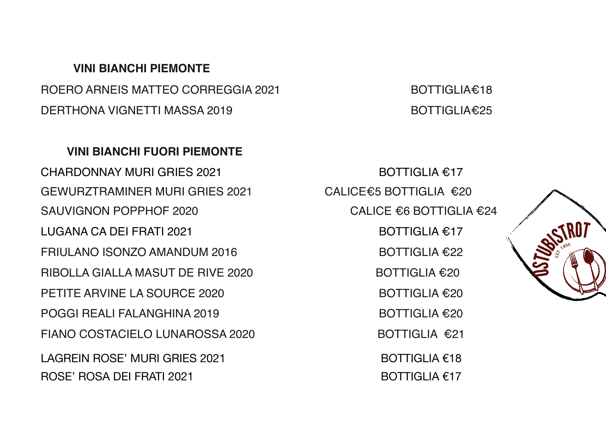#### **VINI BIANCHI PIEMONTE**

ROERO ARNEIS MATTEO CORREGGIA 2021 BOTTIGLIA€18 DERTHONA VIGNETTI MASSA 2019 BOTTIGLIA€25

#### **VINI BIANCHI FUORI PIEMONTE**

CHARDONNAY MURI GRIES 2021 BOTTIGLIA €17 GEWURZTRAMINER MURI GRIES 2021 CALICE€5 BOTTIGLIA €20 SAUVIGNON POPPHOF 2020 CALICE €6 BOTTIGLIA €24 LUGANA CA DEI FRATI 2021 BOTTIGLIA €17 FRIULANO ISONZO AMANDUM 2016  $\overline{P}$  BOTTIGLIA  $\epsilon$ 22 RIBOLLA GIALLA MASUT DE RIVE 2020 BOTTIGLIA €20 PETITE ARVINE LA SOURCE 2020 BOTTIGLIA €20 POGGI REALI FALANGHINA 2019 BOTTIGLIA €20 FIANO COSTACIELO LUNAROSSA 2020 BOTTIGLIA €21 LAGREIN ROSE' MURI GRIES 2021  $\qquad \qquad \qquad$  BOTTIGLIA  $\epsilon$ 18 ROSE' ROSA DEI FRATI 2021  $\qquad \qquad \qquad$ BOTTIGLIA  $\epsilon$ 17

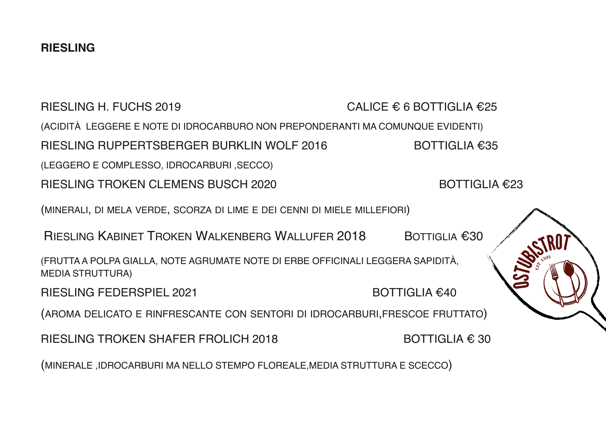RIESLING H. FUCHS 2019 CALICE  $\epsilon$  6 BOTTIGLIA  $\epsilon$ 25 (ACIDITÀ LEGGERE E NOTE DI IDROCARBURO NON PREPONDERANTI MA COMUNQUE EVIDENTI) RIESLING RUPPERTSBERGER BURKLIN WOLF 2016 BOTTIGLIA €35 (LEGGERO E COMPLESSO, IDROCARBURI ,SECCO) RIESLING TROKEN CLEMENS BUSCH 2020 BOTTIGLIA €23 (MINERALI, DI MELA VERDE, SCORZA DI LIME E DEI CENNI DI MIELE MILLEFIORI) RIESLING KABINET TROKEN WALKENBERG WALLUFER 2018 BOTTIGLIA €30 (FRUTTA A POLPA GIALLA, NOTE AGRUMATE NOTE DI ERBE OFFICINALI LEGGERA SAPIDITÀ, MEDIA STRUTTURA) RIESLING FEDERSPIEL 2021 BOTTIGLIA €40 (AROMA DELICATO E RINFRESCANTE CON SENTORI DI IDROCARBURI,FRESCOE FRUTTATO) RIESLING TROKEN SHAFER FROLICH 2018 BOTTIGLIA  $\in$  30 (MINERALE ,IDROCARBURI MA NELLO STEMPO FLOREALE,MEDIA STRUTTURA E SCECCO)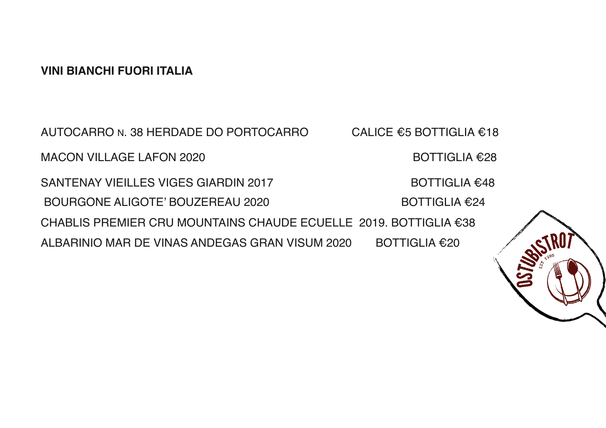#### **VINI BIANCHI FUORI ITALIA**

AUTOCARRO N. 38 HERDADE DO PORTOCARRO CALICE €5 BOTTIGLIA €18 MACON VILLAGE LAFON 2020 BOTTIGLIA €28 SANTENAY VIEILLES VIGES GIARDIN 2017 BOTTIGLIA €48 BOURGONE ALIGOTE' BOUZEREAU 2020 BOTTIGLIA €24 CHABLIS PREMIER CRU MOUNTAINS CHAUDE ECUELLE 2019. BOTTIGLIA €38 ALBARINIO MAR DE VINAS ANDEGAS GRAN VISUM 2020 BOTTIGLIA €20

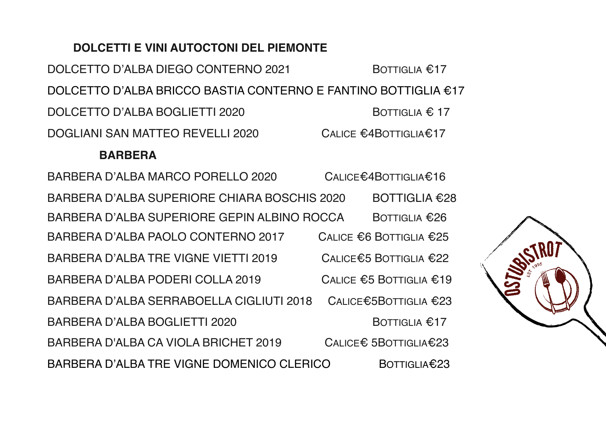## **DOLCETTI E VINI AUTOCTONI DEL PIEMONTE**

DOLCETTO D'ALBA DIEGO CONTERNO 2021 BOTTIGLIA €17 DOLCETTO D'ALBA BRICCO BASTIA CONTERNO E FANTINO BOTTIGLIA €17 DOLCETTO D'ALBA BOGLIETTI 2020 BOTTIGLIA € 17 DOGLIANI SAN MATTEO REVELLI 2020 CALICE €4BOTTIGLIA€17

#### **BARBERA**

BARBERA D'ALBA MARCO PORELLO 2020 CALICE€4BOTTIGLIA€16 BARBERA D'ALBA SUPERIORE CHIARA BOSCHIS 2020 BOTTIGLIA €28 BARBERA D'ALBA SUPERIORE GEPIN ALBINO ROCCA BOTTIGLIA €26 BARBERA D'ALBA PAOLO CONTERNO 2017 CALICE €6 BOTTIGLIA €25 BARBERA D'ALBA TRE VIGNE VIETTI 2019 CALICE€5 BOTTIGLIA €22 BARBERA D'ALBA PODERI COLLA 2019 CALICE €5 BOTTIGLIA €19 BARBERA D'ALBA SERRABOELLA CIGLIUTI 2018 CALICE€5BOTTIGLIA €23 BARBERA D'ALBA BOGLIETTI 2020 BOTTIGLIA €17 BARBERA D'ALBA CA VIOLA BRICHET 2019 CALICE€ 5BOTTIGLIA€23 BARBERA D'ALBA TRE VIGNE DOMENICO CLERICO BOTTIGLIA€23

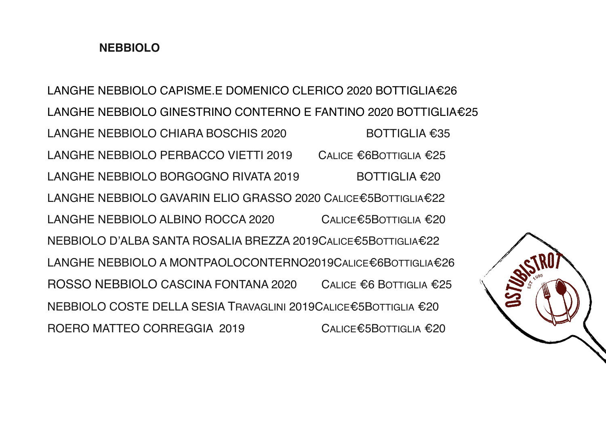## **NEBBIOLO**

LANGHE NEBBIOLO CAPISME.E DOMENICO CLERICO 2020 BOTTIGLIA€26 LANGHE NEBBIOLO GINESTRINO CONTERNO E FANTINO 2020 BOTTIGLIA€25 LANGHE NEBBIOLO CHIARA BOSCHIS 2020 BOTTIGLIA €35 LANGHE NEBBIOLO PERBACCO VIETTI 2019 CALICE €6BOTTIGLIA €25 LANGHE NEBBIOLO BORGOGNO RIVATA 2019 BOTTIGLIA €20 LANGHE NEBBIOLO GAVARIN ELIO GRASSO 2020 CALICE€5BOTTIGLIA€22 LANGHE NEBBIOLO ALBINO ROCCA 2020 CALICE€5BOTTIGLIA €20 NEBBIOLO D'ALBA SANTA ROSALIA BREZZA 2019CALICE€5BOTTIGLIA€22 LANGHE NEBBIOLO A MONTPAOLOCONTERNO2019CALICE€6BOTTIGLIA€26 ROSSO NEBBIOLO CASCINA FONTANA 2020 CALICE €6 BOTTIGLIA €25 NEBBIOLO COSTE DELLA SESIA TRAVAGLINI 2019CALICE€5BOTTIGLIA €20 ROERO MATTEO CORREGGIA 2019 CALICE€5BOTTIGLIA €20

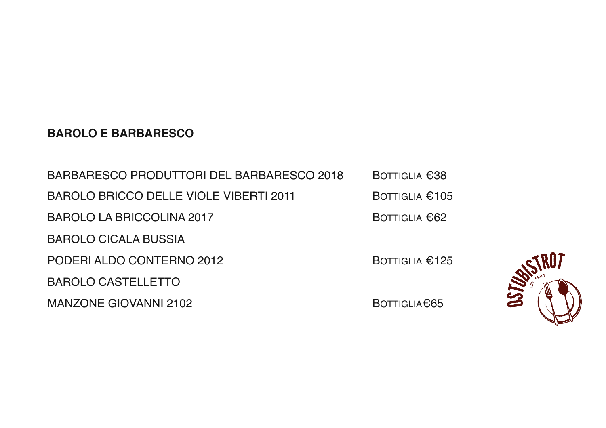## **BAROLO E BARBARESCO**

| BARBARESCO PRODUTTORI DEL BARBARESCO 2018 | <b>BOTTIGLIA €38</b>     |
|-------------------------------------------|--------------------------|
| BAROLO BRICCO DELLE VIOLE VIBERTI 2011    | BOTTIGLIA $\epsilon$ 105 |
| <b>BAROLO LA BRICCOLINA 2017</b>          | BOTTIGLIA $€62$          |
| <b>BAROLO CICALA BUSSIA</b>               |                          |
| PODERI ALDO CONTERNO 2012                 | BOTTIGLIA $£125$         |
| <b>BAROLO CASTELLETTO</b>                 |                          |
| <b>MANZONE GIOVANNI 2102</b>              | BOTTIGLIA€65             |

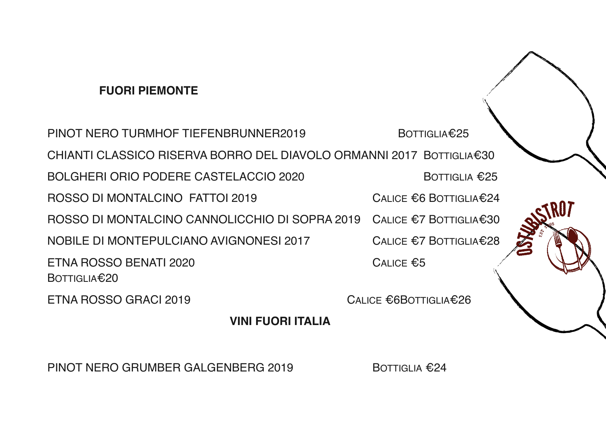## **FUORI PIEMONTE**

PINOT NERO TURMHOF TIFFENBRUNNER2019 BOTTIGLIA€25 CHIANTI CLASSICO RISERVA BORRO DEL DIAVOLO ORMANNI 2017 BOTTIGLIA€30 BOLGHERI ORIO PODERE CASTELACCIO 2020 BOTTIGLIA €25 ROSSO DI MONTALCINO FATTOI 2019 CALICE €6 BOTTIGLIA€24 ROSSO DI MONTALCINO CANNOLICCHIO DI SOPRA 2019 CALICE €7 BOTTIGLIA€30 NOBILE DI MONTEPULCIANO AVIGNONESI 2017 CALICE €7 BOTTIGLIA€28 ETNA ROSSO BENATI 2020 CALICE  $\epsilon$ 5 BOTTIGLIA€20 ETNA ROSSO GRACI 2019 CALICE €6BOTTIGLIA€26

**VINI FUORI ITALIA**

PINOT NERO GRUMBER GALGENBERG 2019 BOTTIGLIA €24